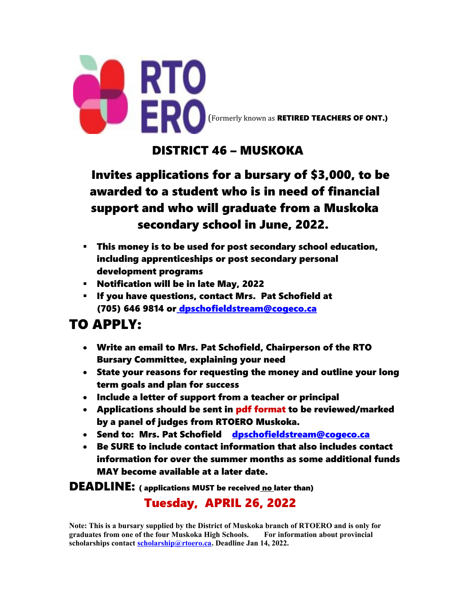

### DISTRICT 46 – MUSKOKA

 Invites applications for a bursary of \$3,000, to be awarded to a student who is in need of financial support and who will graduate from a Muskoka secondary school in June, 2022.

- This money is to be used for post secondary school education, including apprenticeships or post secondary personal development programs
- Notification will be in late May, 2022
- If you have questions, contact Mrs. Pat Schofield at (705) 646 9814 or dpschofieldstream@cogeco.ca

# TO APPLY:

- Write an email to Mrs. Pat Schofield, Chairperson of the RTO Bursary Committee, explaining your need
- State your reasons for requesting the money and outline your long term goals and plan for success
- Include a letter of support from a teacher or principal
- Applications should be sent in pdf format to be reviewed/marked by a panel of judges from RTOERO Muskoka.
- Send to: Mrs. Pat Schofield dpschofieldstream@cogeco.ca
- Be SURE to include contact information that also includes contact information for over the summer months as some additional funds MAY become available at a later date.

**DEADLINE:** (applications MUST be received no later than)

## Tuesday, APRIL 26, 2022

**Note: This is a bursary supplied by the District of Muskoka branch of RTOERO and is only for graduates from one of the four Muskoka High Schools. For information about provincial scholarships contact [scholarship@rtoero.ca.](mailto:scholarship@rtoero.ca) Deadline Jan 14, 2022.**